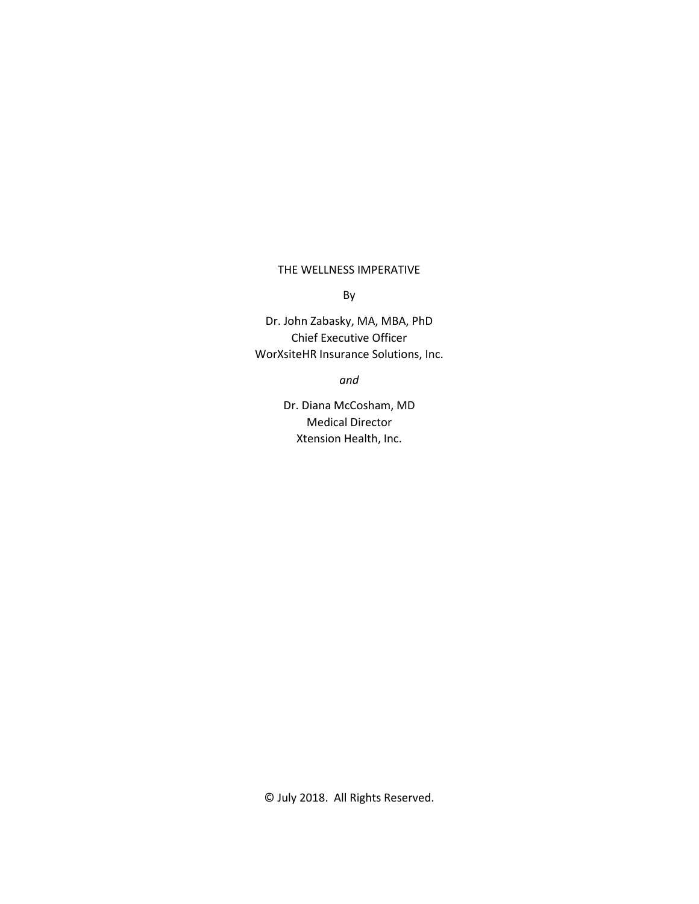## THE WELLNESS IMPERATIVE

By

Dr. John Zabasky, MA, MBA, PhD Chief Executive Officer WorXsiteHR Insurance Solutions, Inc.

*and*

Dr. Diana McCosham, MD Medical Director Xtension Health, Inc.

© July 2018. All Rights Reserved.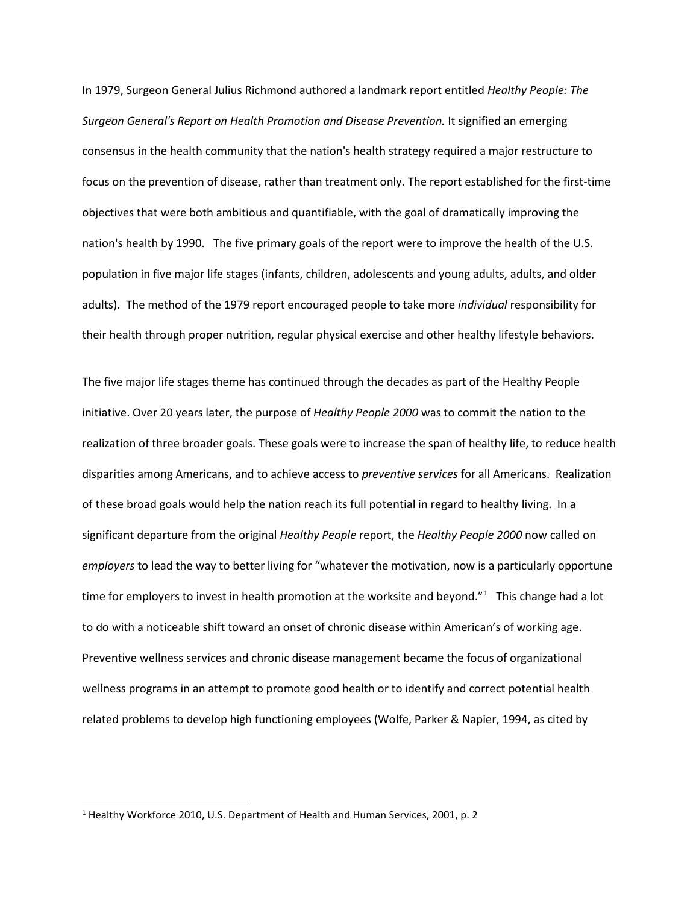In 1979, Surgeon General Julius Richmond authored a landmark report entitled *Healthy People: The Surgeon General's Report on Health Promotion and Disease Prevention.* It signified an emerging consensus in the health community that the nation's health strategy required a major restructure to focus on the prevention of disease, rather than treatment only. The report established for the first-time objectives that were both ambitious and quantifiable, with the goal of dramatically improving the nation's health by 1990. The five primary goals of the report were to improve the health of the U.S. population in five major life stages (infants, children, adolescents and young adults, adults, and older adults). The method of the 1979 report encouraged people to take more *individual* responsibility for their health through proper nutrition, regular physical exercise and other healthy lifestyle behaviors.

The five major life stages theme has continued through the decades as part of the Healthy People initiative. Over 20 years later, the purpose of *Healthy People 2000* was to commit the nation to the realization of three broader goals. These goals were to increase the span of healthy life, to reduce health disparities among Americans, and to achieve access to *preventive services* for all Americans. Realization of these broad goals would help the nation reach its full potential in regard to healthy living. In a significant departure from the original *Healthy People* report, the *Healthy People 2000* now called on *employers* to lead the way to better living for "whatever the motivation, now is a particularly opportune time for employers to invest in health promotion at the worksite and beyond."<sup>[1](#page-1-0)</sup> This change had a lot to do with a noticeable shift toward an onset of chronic disease within American's of working age. Preventive wellness services and chronic disease management became the focus of organizational wellness programs in an attempt to promote good health or to identify and correct potential health related problems to develop high functioning employees (Wolfe, Parker & Napier, 1994, as cited by

<span id="page-1-0"></span><sup>&</sup>lt;sup>1</sup> Healthy Workforce 2010, U.S. Department of Health and Human Services, 2001, p. 2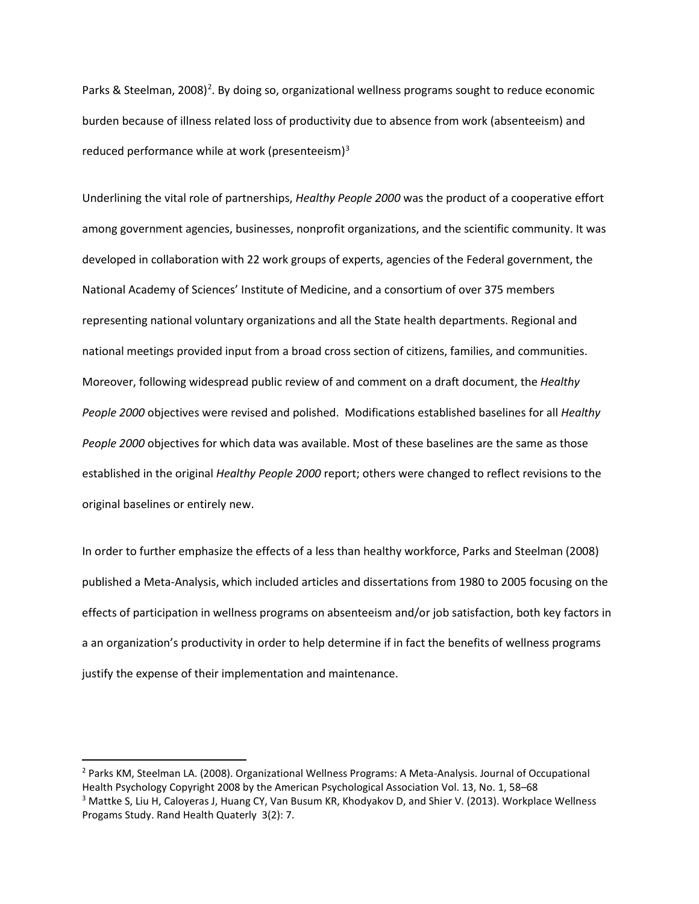Parks & Steelman, [2](#page-2-0)008)<sup>2</sup>. By doing so, organizational wellness programs sought to reduce economic burden because of illness related loss of productivity due to absence from work (absenteeism) and reduced performance while at work (presenteeism)<sup>[3](#page-2-1)</sup>

Underlining the vital role of partnerships, *Healthy People 2000* was the product of a cooperative effort among government agencies, businesses, nonprofit organizations, and the scientific community. It was developed in collaboration with 22 work groups of experts, agencies of the Federal government, the National Academy of Sciences' Institute of Medicine, and a consortium of over 375 members representing national voluntary organizations and all the State health departments. Regional and national meetings provided input from a broad cross section of citizens, families, and communities. Moreover, following widespread public review of and comment on a draft document, the *Healthy People 2000* objectives were revised and polished. Modifications established baselines for all *Healthy People 2000* objectives for which data was available. Most of these baselines are the same as those established in the original *Healthy People 2000* report; others were changed to reflect revisions to the original baselines or entirely new.

In order to further emphasize the effects of a less than healthy workforce, Parks and Steelman (2008) published a Meta-Analysis, which included articles and dissertations from 1980 to 2005 focusing on the effects of participation in wellness programs on absenteeism and/or job satisfaction, both key factors in a an organization's productivity in order to help determine if in fact the benefits of wellness programs justify the expense of their implementation and maintenance.

<span id="page-2-0"></span> <sup>2</sup> Parks KM, Steelman LA. (2008). Organizational Wellness Programs: A Meta-Analysis. Journal of Occupational Health Psychology Copyright 2008 by the American Psychological Association Vol. 13, No. 1, 58–68<br><sup>3</sup> Mattke S, Liu H, Caloyeras J, Huang CY, Van Busum KR, Khodyakov D, and Shier V. (2013). Workplace Wellness

<span id="page-2-1"></span>Progams Study. Rand Health Quaterly 3(2): 7.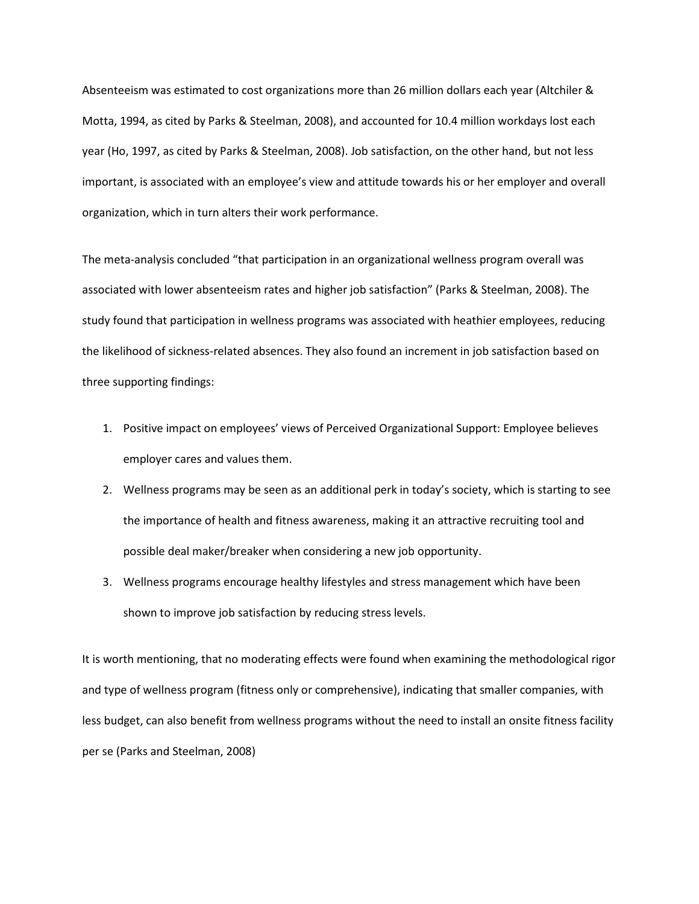Absenteeism was estimated to cost organizations more than 26 million dollars each year (Altchiler & Motta, 1994, as cited by Parks & Steelman, 2008), and accounted for 10.4 million workdays lost each year (Ho, 1997, as cited by Parks & Steelman, 2008). Job satisfaction, on the other hand, but not less important, is associated with an employee's view and attitude towards his or her employer and overall organization, which in turn alters their work performance.

The meta-analysis concluded "that participation in an organizational wellness program overall was associated with lower absenteeism rates and higher job satisfaction" (Parks & Steelman, 2008). The study found that participation in wellness programs was associated with heathier employees, reducing the likelihood of sickness-related absences. They also found an increment in job satisfaction based on three supporting findings:

- 1. Positive impact on employees' views of Perceived Organizational Support: Employee believes employer cares and values them.
- 2. Wellness programs may be seen as an additional perk in today's society, which is starting to see the importance of health and fitness awareness, making it an attractive recruiting tool and possible deal maker/breaker when considering a new job opportunity.
- 3. Wellness programs encourage healthy lifestyles and stress management which have been shown to improve job satisfaction by reducing stress levels.

It is worth mentioning, that no moderating effects were found when examining the methodological rigor and type of wellness program (fitness only or comprehensive), indicating that smaller companies, with less budget, can also benefit from wellness programs without the need to install an onsite fitness facility per se (Parks and Steelman, 2008)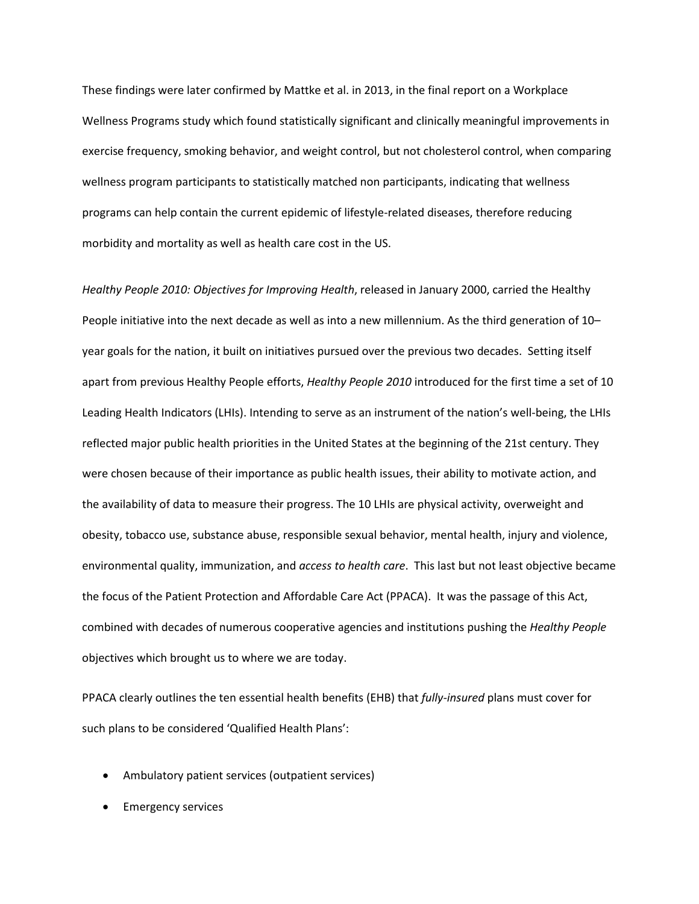These findings were later confirmed by Mattke et al. in 2013, in the final report on a Workplace Wellness Programs study which found statistically significant and clinically meaningful improvements in exercise frequency, smoking behavior, and weight control, but not cholesterol control, when comparing wellness program participants to statistically matched non participants, indicating that wellness programs can help contain the current epidemic of lifestyle-related diseases, therefore reducing morbidity and mortality as well as health care cost in the US.

*Healthy People 2010: Objectives for Improving Health*, released in January 2000, carried the Healthy People initiative into the next decade as well as into a new millennium. As the third generation of 10– year goals for the nation, it built on initiatives pursued over the previous two decades. Setting itself apart from previous Healthy People efforts, *Healthy People 2010* introduced for the first time a set of 10 Leading Health Indicators (LHIs). Intending to serve as an instrument of the nation's well-being, the LHIs reflected major public health priorities in the United States at the beginning of the 21st century. They were chosen because of their importance as public health issues, their ability to motivate action, and the availability of data to measure their progress. The 10 LHIs are physical activity, overweight and obesity, tobacco use, substance abuse, responsible sexual behavior, mental health, injury and violence, environmental quality, immunization, and *access to health care*. This last but not least objective became the focus of the Patient Protection and Affordable Care Act (PPACA). It was the passage of this Act, combined with decades of numerous cooperative agencies and institutions pushing the *Healthy People* objectives which brought us to where we are today.

PPACA clearly outlines the ten essential health benefits (EHB) that *fully-insured* plans must cover for such plans to be considered 'Qualified Health Plans':

- Ambulatory patient services (outpatient services)
- Emergency services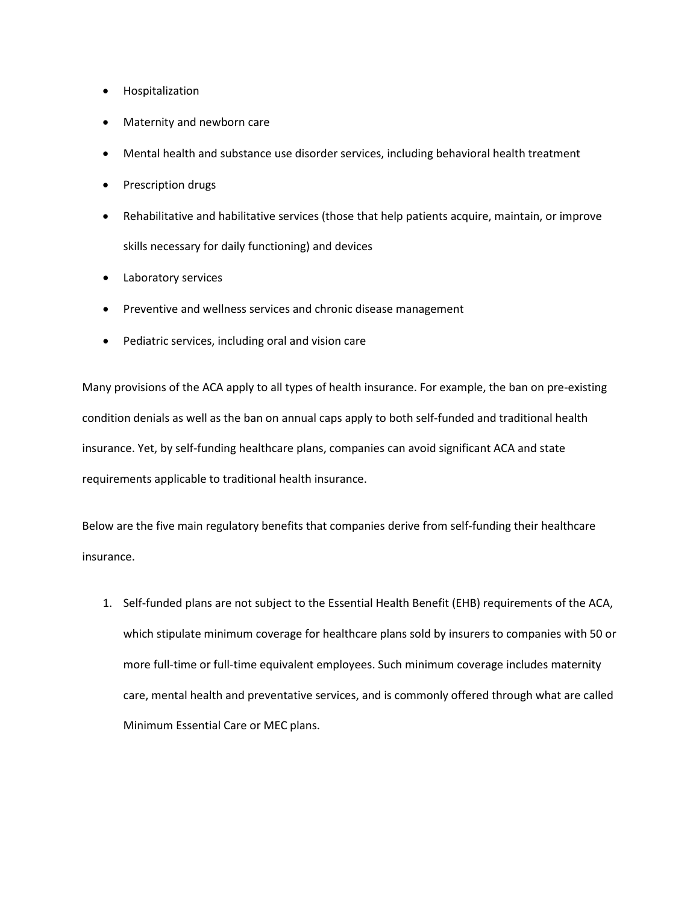- Hospitalization
- Maternity and newborn care
- Mental health and substance use disorder services, including behavioral health treatment
- Prescription drugs
- Rehabilitative and habilitative services (those that help patients acquire, maintain, or improve skills necessary for daily functioning) and devices
- Laboratory services
- Preventive and wellness services and chronic disease management
- Pediatric services, including oral and vision care

Many provisions of the ACA apply to all types of health insurance. For example, the ban on pre-existing condition denials as well as the ban on annual caps apply to both self-funded and traditional health insurance. Yet, by self-funding healthcare plans, companies can avoid significant ACA and state requirements applicable to traditional health insurance.

Below are the five main regulatory benefits that companies derive from self-funding their healthcare insurance.

1. Self-funded plans are not subject to the Essential Health Benefit (EHB) requirements of the ACA, which stipulate minimum coverage for healthcare plans sold by insurers to companies with 50 or more full-time or full-time equivalent employees. Such minimum coverage includes maternity care, mental health and preventative services, and is commonly offered through what are called Minimum Essential Care or MEC plans.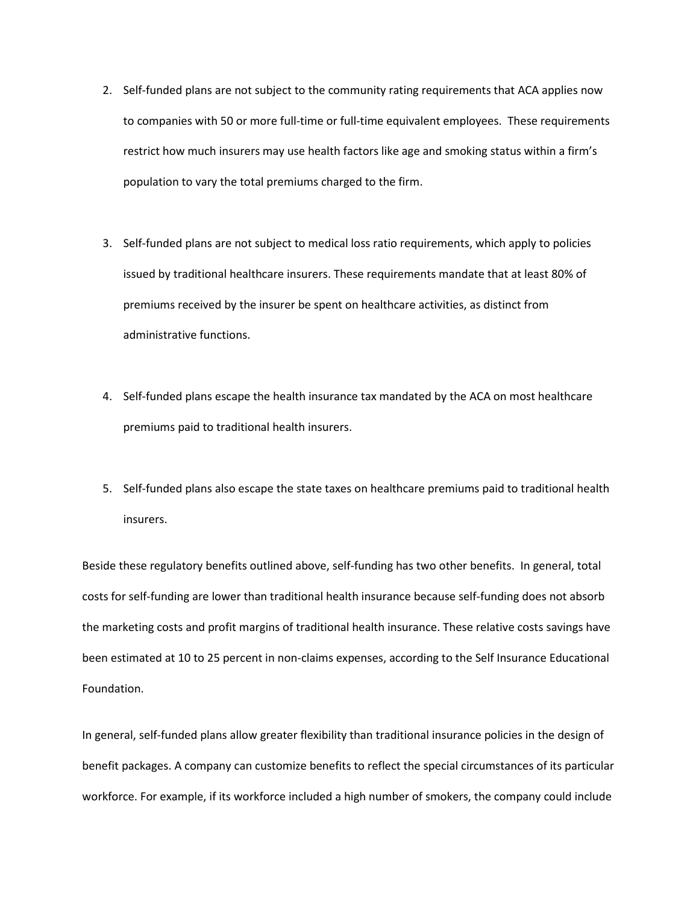- 2. Self-funded plans are not subject to the community rating requirements that ACA applies now to companies with 50 or more full-time or full-time equivalent employees. These requirements restrict how much insurers may use health factors like age and smoking status within a firm's population to vary the total premiums charged to the firm.
- 3. Self-funded plans are not subject to medical loss ratio requirements, which apply to policies issued by traditional healthcare insurers. These requirements mandate that at least 80% of premiums received by the insurer be spent on healthcare activities, as distinct from administrative functions.
- 4. Self-funded plans escape the health insurance tax mandated by the ACA on most healthcare premiums paid to traditional health insurers.
- 5. Self-funded plans also escape the state taxes on healthcare premiums paid to traditional health insurers.

Beside these regulatory benefits outlined above, self-funding has two other benefits. In general, total costs for self-funding are lower than traditional health insurance because self-funding does not absorb the marketing costs and profit margins of traditional health insurance. These relative costs savings have been estimated at 10 to 25 percent in non-claims expenses, according to the Self Insurance Educational Foundation.

In general, self-funded plans allow greater flexibility than traditional insurance policies in the design of benefit packages. A company can customize benefits to reflect the special circumstances of its particular workforce. For example, if its workforce included a high number of smokers, the company could include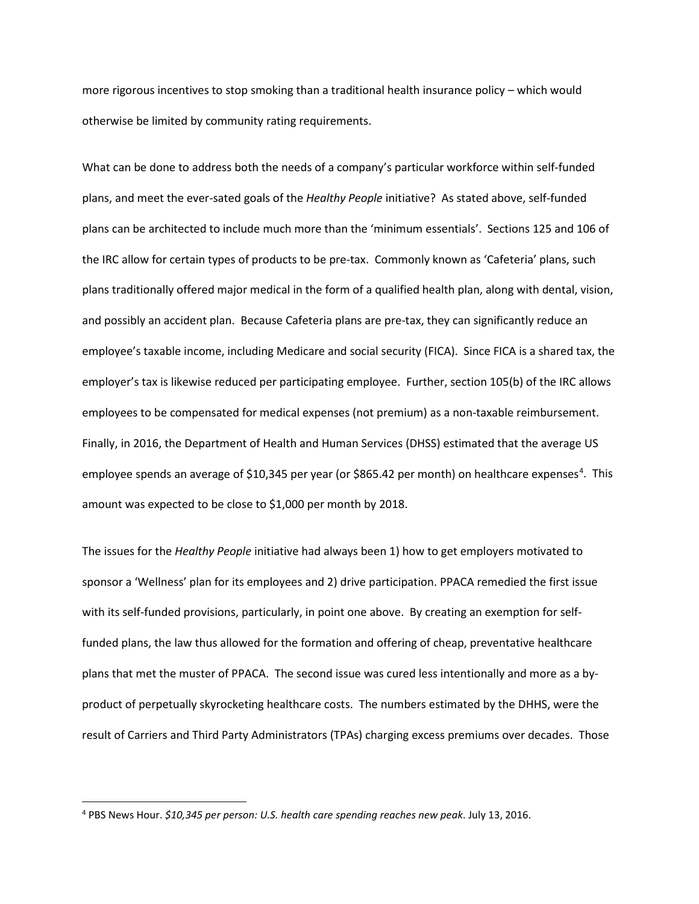more rigorous incentives to stop smoking than a traditional health insurance policy – which would otherwise be limited by community rating requirements.

What can be done to address both the needs of a company's particular workforce within self-funded plans, and meet the ever-sated goals of the *Healthy People* initiative? As stated above, self-funded plans can be architected to include much more than the 'minimum essentials'. Sections 125 and 106 of the IRC allow for certain types of products to be pre-tax. Commonly known as 'Cafeteria' plans, such plans traditionally offered major medical in the form of a qualified health plan, along with dental, vision, and possibly an accident plan. Because Cafeteria plans are pre-tax, they can significantly reduce an employee's taxable income, including Medicare and social security (FICA). Since FICA is a shared tax, the employer's tax is likewise reduced per participating employee. Further, section 105(b) of the IRC allows employees to be compensated for medical expenses (not premium) as a non-taxable reimbursement. Finally, in 2016, the Department of Health and Human Services (DHSS) estimated that the average US employee spends an average of \$10,3[4](#page-7-0)5 per year (or \$865.42 per month) on healthcare expenses<sup>4</sup>. This amount was expected to be close to \$1,000 per month by 2018.

The issues for the *Healthy People* initiative had always been 1) how to get employers motivated to sponsor a 'Wellness' plan for its employees and 2) drive participation. PPACA remedied the first issue with its self-funded provisions, particularly, in point one above. By creating an exemption for selffunded plans, the law thus allowed for the formation and offering of cheap, preventative healthcare plans that met the muster of PPACA. The second issue was cured less intentionally and more as a byproduct of perpetually skyrocketing healthcare costs. The numbers estimated by the DHHS, were the result of Carriers and Third Party Administrators (TPAs) charging excess premiums over decades. Those

<span id="page-7-0"></span> <sup>4</sup> PBS News Hour. *\$10,345 per person: U.S. health care spending reaches new peak*. July 13, 2016.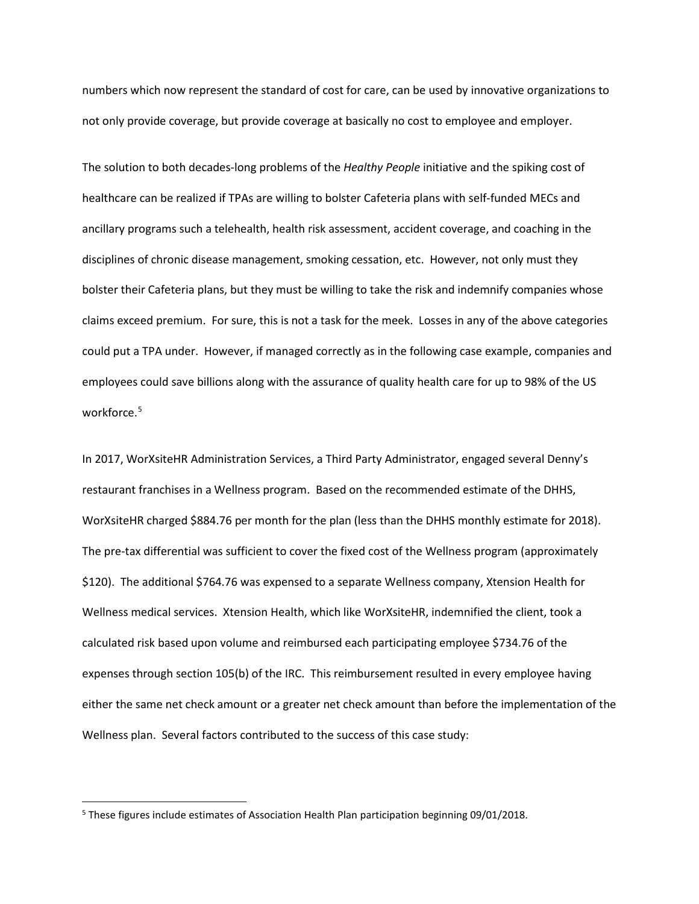numbers which now represent the standard of cost for care, can be used by innovative organizations to not only provide coverage, but provide coverage at basically no cost to employee and employer.

The solution to both decades-long problems of the *Healthy People* initiative and the spiking cost of healthcare can be realized if TPAs are willing to bolster Cafeteria plans with self-funded MECs and ancillary programs such a telehealth, health risk assessment, accident coverage, and coaching in the disciplines of chronic disease management, smoking cessation, etc. However, not only must they bolster their Cafeteria plans, but they must be willing to take the risk and indemnify companies whose claims exceed premium. For sure, this is not a task for the meek. Losses in any of the above categories could put a TPA under. However, if managed correctly as in the following case example, companies and employees could save billions along with the assurance of quality health care for up to 98% of the US workforce.<sup>[5](#page-8-0)</sup>

In 2017, WorXsiteHR Administration Services, a Third Party Administrator, engaged several Denny's restaurant franchises in a Wellness program. Based on the recommended estimate of the DHHS, WorXsiteHR charged \$884.76 per month for the plan (less than the DHHS monthly estimate for 2018). The pre-tax differential was sufficient to cover the fixed cost of the Wellness program (approximately \$120). The additional \$764.76 was expensed to a separate Wellness company, Xtension Health for Wellness medical services. Xtension Health, which like WorXsiteHR, indemnified the client, took a calculated risk based upon volume and reimbursed each participating employee \$734.76 of the expenses through section 105(b) of the IRC. This reimbursement resulted in every employee having either the same net check amount or a greater net check amount than before the implementation of the Wellness plan. Several factors contributed to the success of this case study:

<span id="page-8-0"></span> <sup>5</sup> These figures include estimates of Association Health Plan participation beginning 09/01/2018.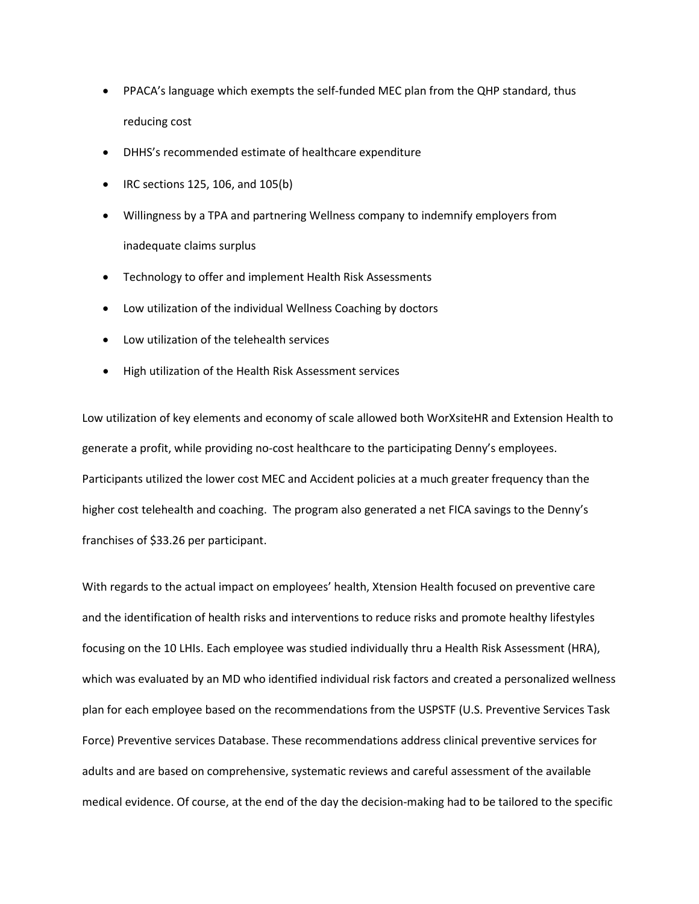- PPACA's language which exempts the self-funded MEC plan from the QHP standard, thus reducing cost
- DHHS's recommended estimate of healthcare expenditure
- IRC sections 125, 106, and 105(b)
- Willingness by a TPA and partnering Wellness company to indemnify employers from inadequate claims surplus
- Technology to offer and implement Health Risk Assessments
- Low utilization of the individual Wellness Coaching by doctors
- Low utilization of the telehealth services
- High utilization of the Health Risk Assessment services

Low utilization of key elements and economy of scale allowed both WorXsiteHR and Extension Health to generate a profit, while providing no-cost healthcare to the participating Denny's employees. Participants utilized the lower cost MEC and Accident policies at a much greater frequency than the higher cost telehealth and coaching. The program also generated a net FICA savings to the Denny's franchises of \$33.26 per participant.

With regards to the actual impact on employees' health, Xtension Health focused on preventive care and the identification of health risks and interventions to reduce risks and promote healthy lifestyles focusing on the 10 LHIs. Each employee was studied individually thru a Health Risk Assessment (HRA), which was evaluated by an MD who identified individual risk factors and created a personalized wellness plan for each employee based on the recommendations from the USPSTF (U.S. Preventive Services Task Force) Preventive services Database. These recommendations address clinical preventive services for adults and are based on comprehensive, systematic reviews and careful assessment of the available medical evidence. Of course, at the end of the day the decision-making had to be tailored to the specific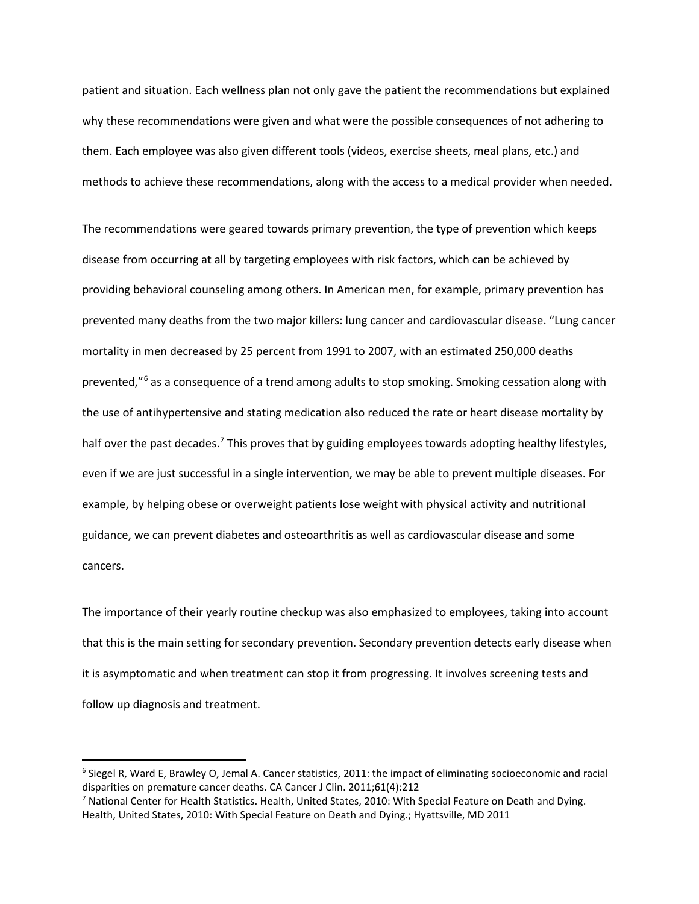patient and situation. Each wellness plan not only gave the patient the recommendations but explained why these recommendations were given and what were the possible consequences of not adhering to them. Each employee was also given different tools (videos, exercise sheets, meal plans, etc.) and methods to achieve these recommendations, along with the access to a medical provider when needed.

The recommendations were geared towards primary prevention, the type of prevention which keeps disease from occurring at all by targeting employees with risk factors, which can be achieved by providing behavioral counseling among others. In American men, for example, primary prevention has prevented many deaths from the two major killers: lung cancer and cardiovascular disease. "Lung cancer mortality in men decreased by 25 percent from 1991 to 2007, with an estimated 250,000 deaths prevented,"<sup>[6](#page-10-0)</sup> as a consequence of a trend among adults to stop smoking. Smoking cessation along with the use of antihypertensive and stating medication also reduced the rate or heart disease mortality by half over the past decades.<sup>[7](#page-10-1)</sup> This proves that by guiding employees towards adopting healthy lifestyles, even if we are just successful in a single intervention, we may be able to prevent multiple diseases. For example, by helping obese or overweight patients lose weight with physical activity and nutritional guidance, we can prevent diabetes and osteoarthritis as well as cardiovascular disease and some cancers.

The importance of their yearly routine checkup was also emphasized to employees, taking into account that this is the main setting for secondary prevention. Secondary prevention detects early disease when it is asymptomatic and when treatment can stop it from progressing. It involves screening tests and follow up diagnosis and treatment.

<span id="page-10-0"></span> $6$  Siegel R, Ward E, Brawley O, Jemal A. Cancer statistics, 2011: the impact of eliminating socioeconomic and racial disparities on premature cancer deaths. CA Cancer J Clin. 2011;61(4):212

<span id="page-10-1"></span><sup>&</sup>lt;sup>7</sup> National Center for Health Statistics. Health, United States, 2010: With Special Feature on Death and Dying. Health, United States, 2010: With Special Feature on Death and Dying.; Hyattsville, MD 2011